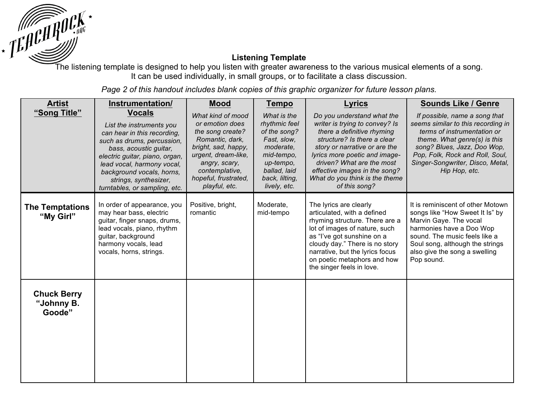

## **Listening Template**

It can be used individually, in small groups, or to facilitate a class discussion.

*Page 2 of this handout includes blank copies of this graphic organizer for future lesson plans.* 

| <b>Artist</b>                              | Instrumentation/                                                                                                                                                                                                                                                                        | <b>Mood</b>                                                                                                                                                                                           | <b>Tempo</b>                                                                                                                                          | <b>Lyrics</b>                                                                                                                                                                                                                                                                                                | <b>Sounds Like / Genre</b>                                                                                                                                                                                                                                |
|--------------------------------------------|-----------------------------------------------------------------------------------------------------------------------------------------------------------------------------------------------------------------------------------------------------------------------------------------|-------------------------------------------------------------------------------------------------------------------------------------------------------------------------------------------------------|-------------------------------------------------------------------------------------------------------------------------------------------------------|--------------------------------------------------------------------------------------------------------------------------------------------------------------------------------------------------------------------------------------------------------------------------------------------------------------|-----------------------------------------------------------------------------------------------------------------------------------------------------------------------------------------------------------------------------------------------------------|
| "Song Title"                               | <b>Vocals</b><br>List the instruments you<br>can hear in this recording,<br>such as drums, percussion,<br>bass, acoustic guitar,<br>electric guitar, piano, organ,<br>lead vocal, harmony vocal,<br>background vocals, horns,<br>strings, synthesizer,<br>turntables, or sampling, etc. | What kind of mood<br>or emotion does<br>the song create?<br>Romantic, dark,<br>bright, sad, happy,<br>urgent, dream-like,<br>angry, scary,<br>contemplative,<br>hopeful, frustrated,<br>playful, etc. | What is the<br>rhythmic feel<br>of the song?<br>Fast, slow,<br>moderate,<br>mid-tempo,<br>up-tempo,<br>ballad, laid<br>back, lilting,<br>lively, etc. | Do you understand what the<br>writer is trying to convey? Is<br>there a definitive rhyming<br>structure? Is there a clear<br>story or narrative or are the<br>lyrics more poetic and image-<br>driven? What are the most<br>effective images in the song?<br>What do you think is the theme<br>of this song? | If possible, name a song that<br>seems similar to this recording in<br>terms of instrumentation or<br>theme. What genre(s) is this<br>song? Blues, Jazz, Doo Wop,<br>Pop, Folk, Rock and Roll, Soul,<br>Singer-Songwriter, Disco, Metal,<br>Hip Hop, etc. |
| <b>The Temptations</b><br>"My Girl"        | In order of appearance, you<br>may hear bass, electric<br>guitar, finger snaps, drums,<br>lead vocals, piano, rhythm<br>guitar, background<br>harmony vocals, lead<br>vocals, horns, strings.                                                                                           | Positive, bright,<br>romantic                                                                                                                                                                         | Moderate,<br>mid-tempo                                                                                                                                | The lyrics are clearly<br>articulated, with a defined<br>rhyming structure. There are a<br>lot of images of nature, such<br>as "I've got sunshine on a<br>cloudy day." There is no story<br>narrative, but the lyrics focus<br>on poetic metaphors and how<br>the singer feels in love.                      | It is reminiscent of other Motown<br>songs like "How Sweet It Is" by<br>Marvin Gaye. The vocal<br>harmonies have a Doo Wop<br>sound. The music feels like a<br>Soul song, although the strings<br>also give the song a swelling<br>Pop sound.             |
| <b>Chuck Berry</b><br>"Johnny B.<br>Goode" |                                                                                                                                                                                                                                                                                         |                                                                                                                                                                                                       |                                                                                                                                                       |                                                                                                                                                                                                                                                                                                              |                                                                                                                                                                                                                                                           |